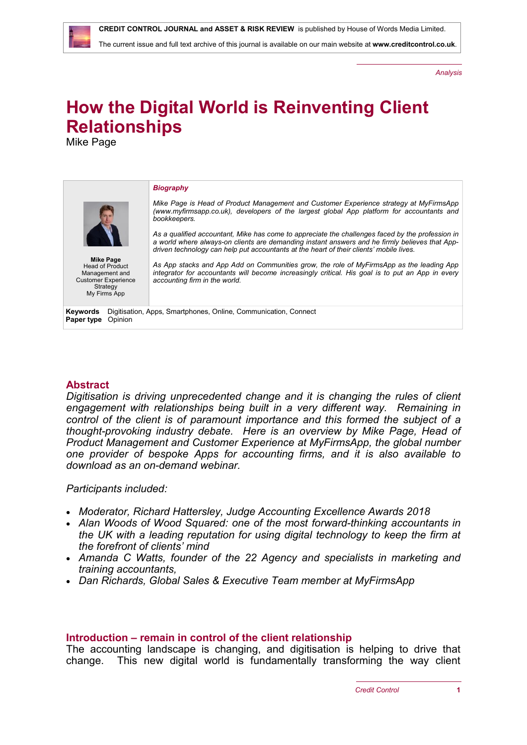The current issue and full text archive of this journal is available on our main website at **[www.creditcontrol.co.uk](http://www.creditcontrol.co.uk)**.

*Analysis*

# **How the Digital World is Reinventing Client Relationships**

Mike Page

#### **Keywords** Digitisation, Apps, Smartphones, Online, Communication, Connect **Paper type** Opinion *Biography Mike Page is Head of Product Management and Customer Experience strategy at MyFirmsApp [\(www.myfirmsapp.co.uk\)](http://www.myfirmsapp.co.uk), developers of the largest global App platform for accountants and bookkeepers. As a qualified accountant, Mike has come to appreciate the challenges faced by the profession in a world where always-on clients are demanding instant answers and he firmly believes that Appdriven technology can help put accountants at the heart of their clients' mobile lives. As App stacks and App Add on Communities grow, the role of MyFirmsApp as the leading App integrator for accountants will become increasingly critical. His goal is to put an App in every accounting firm in the world.* **Mike Page** Head of Product Management and Customer Experience **Strategy** My Firms App

#### **Abstract**

*Digitisation is driving unprecedented change and it is changing the rules of client engagement with relationships being built in a very different way. Remaining in control of the client is of paramount importance and this formed the subject of a thought-provoking industry debate. Here is an overview by Mike Page, Head of Product Management and Customer Experience at MyFirmsApp, the global number one provider of bespoke Apps for accounting firms, and it is also available to download as an on-demand webinar.*

*Participants included:*

- *Moderator, Richard Hattersley, Judge Accounting Excellence Awards 2018*
- *Alan Woods of Wood Squared: one of the most forward-thinking accountants in the UK with a leading reputation for using digital technology to keep the firm at the forefront of clients' mind*
- *Amanda C Watts, founder of the 22 Agency and specialists in marketing and training accountants,*
- *Dan Richards, Global Sales & Executive Team member at MyFirmsApp*

#### **Introduction – remain in control of the client relationship**

The accounting landscape is changing, and digitisation is helping to drive that change. This new digital world is fundamentally transforming the way client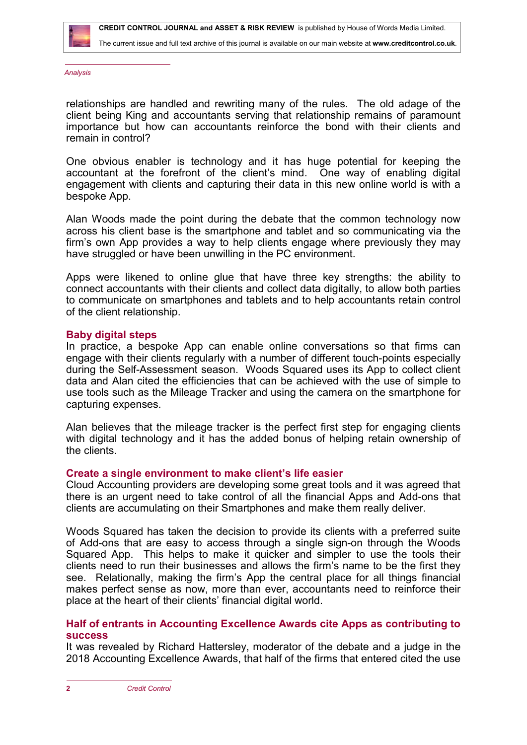

*Analysis*

relationships are handled and rewriting many of the rules. The old adage of the client being King and accountants serving that relationship remains of paramount importance but how can accountants reinforce the bond with their clients and remain in control?

One obvious enabler is technology and it has huge potential for keeping the accountant at the forefront of the client's mind. One way of enabling digital engagement with clients and capturing their data in this new online world is with a bespoke App.

Alan Woods made the point during the debate that the common technology now across his client base is the smartphone and tablet and so communicating via the firm's own App provides a way to help clients engage where previously they may have struggled or have been unwilling in the PC environment.

Apps were likened to online glue that have three key strengths: the ability to connect accountants with their clients and collect data digitally, to allow both parties to communicate on smartphones and tablets and to help accountants retain control of the client relationship.

### **Baby digital steps**

In practice, a bespoke App can enable online conversations so that firms can engage with their clients regularly with a number of different touch-points especially during the Self-Assessment season. Woods Squared uses its App to collect client data and Alan cited the efficiencies that can be achieved with the use of simple to use tools such as the Mileage Tracker and using the camera on the smartphone for capturing expenses.

Alan believes that the mileage tracker is the perfect first step for engaging clients with digital technology and it has the added bonus of helping retain ownership of the clients.

### **Create a single environment to make client's life easier**

Cloud Accounting providers are developing some great tools and it was agreed that there is an urgent need to take control of all the financial Apps and Add-ons that clients are accumulating on their Smartphones and make them really deliver.

Woods Squared has taken the decision to provide its clients with a preferred suite of Add-ons that are easy to access through a single sign-on through the Woods Squared App. This helps to make it quicker and simpler to use the tools their clients need to run their businesses and allows the firm's name to be the first they see. Relationally, making the firm's App the central place for all things financial makes perfect sense as now, more than ever, accountants need to reinforce their place at the heart of their clients' financial digital world.

## **Half of entrants in Accounting Excellence Awards cite Apps as contributing to success**

It was revealed by Richard Hattersley, moderator of the debate and a judge in the 2018 Accounting Excellence Awards, that half of the firms that entered cited the use